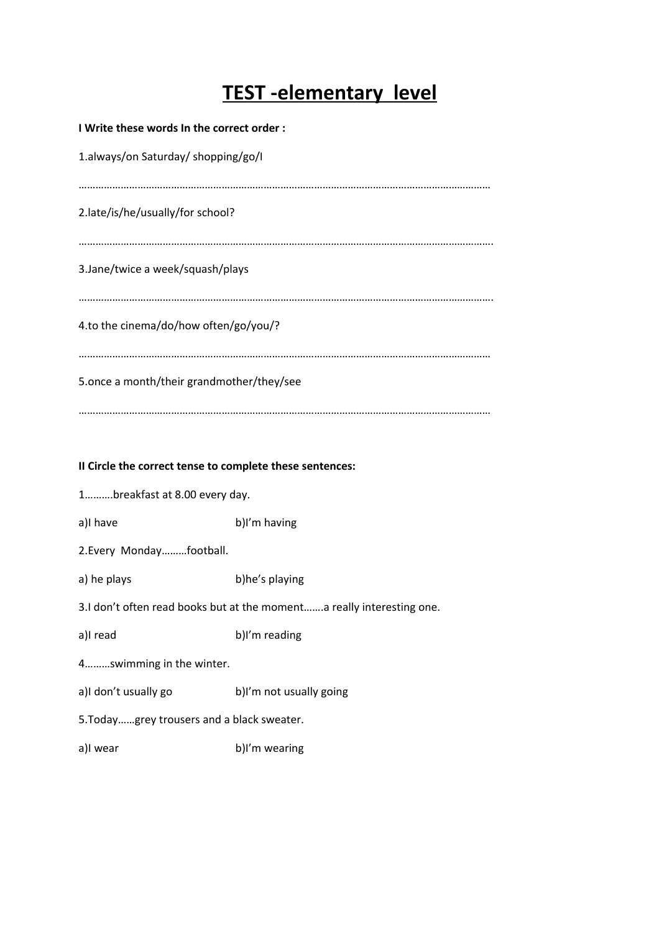# **TEST-elementary level**

| I Write these words In the correct order: |
|-------------------------------------------|
| 1.always/on Saturday/ shopping/go/l       |
| 2.late/is/he/usually/for school?          |
| 3. Jane/twice a week/squash/plays         |
| 4.to the cinema/do/how often/go/you/?     |
| 5.once a month/their grandmother/they/see |
|                                           |

## **II Circle the correct tense to complete these sentences:**

1……….breakfast at 8.00 every day.

a)I have b)I'm having

2.Every Monday………football.

a) he plays b)he's playing

3.I don't often read books but at the moment…….a really interesting one.

a)I read b)I'm reading

4………swimming in the winter.

a)I don't usually go b)I'm not usually going

5.Today……grey trousers and a black sweater.

a)I wear b)I'm wearing